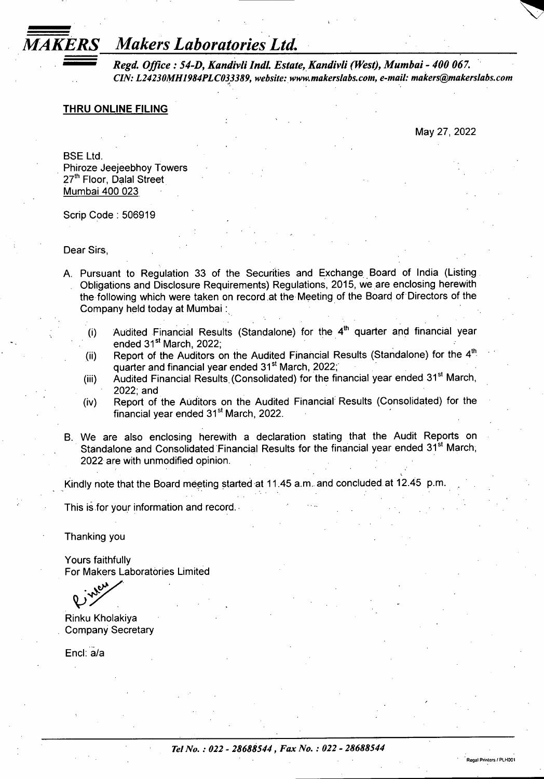## *MAKERS Makers Laboratories Ltd,*

*Regd. Office: S4-D, KandivliIndl. Estate, Kandivli (West), Mumbai - 400 067. CIN: L24230MH1984PLC033389, website: [www.makerslabs.coln,](http://www.makerslabs.coln) e-mail: [makers@makerslabs.com](mailto:makers@makerslabs.com)*

### **THRU ONLINE FILING**

May 27, 2022

BSE Ltd. Phiroze Jeejeebhoy Towers 27<sup>th</sup> Floor, Dalal Street Mumbai 400 023

Scrip Code: 506919

Dear Sirs

- A. Pursuant to Regulation 33 of the Securities and Exchange Board of India (Listing Obligations and Disclosure Requirements) Regulations, 2015, we are enclosing herewith the following which were taken on record at the Meeting of the Board of Directors of the Company held today at Mumbai:
	- (i) Audited Financial Results (Standalone) for the  $4<sup>th</sup>$  quarter and financial year ended 31<sup>st</sup> March, 2022;
	- (ii) Report of the Auditors on the Audited Financial Results (Standalone) for the  $4<sup>th</sup>$ quarter and financial year ended 31<sup>st</sup> March, 2022;
	- (iii) Audited Financial Results (Consolidated) for the financial year ended 31<sup>st</sup> March, 2022; and
	- (iv) Report of the Auditors on the Audited Financial Results (Consolidated) for the financial year ended 31<sup>st</sup> March, 2022.
- B. We are also enclosing herewith a declaration stating that the Audit Reports on Standalone and Consolidated Financial Results for the financial year ended 31<sup>st</sup> March; 2022 are with unmodified opinion.

Kindly note that the Board meeting started at 11.45 a.m. and concluded at 12.45 p.m.

This is for your information and record.

Thanking you

Yours faithfully For Makers Laboratories Limited

**V**

Rinku Kholakiya Company Secretary

Enel: a/a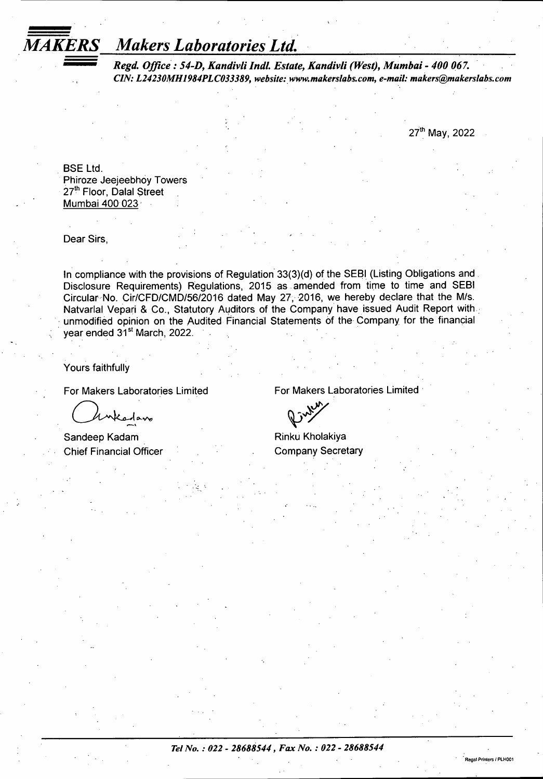## *MAKERS Makers Laboratories Ltd.*

*Regd. Office: 54-D, Kandivli Indl. Estate, Kandivli (West), Mumbai - 400 067. CIN: L24230MH1984PLC033389, website: [www.makerslabs.com](http://www.makerslabs.com), e-mail: [makers@makerslabs.com](mailto:makers@makerslabs.com)*

27th May, 2022

Regal Printers *I*PLH001

BSE Ltd. Phiroze Jeejeebhoy Towers 27th Floor, Dalal Street Mumbai 400 023

Dear Sirs,

In compliance with the provisions of Regulation 33(3)(d) of the SEBI (Listing Obligations and Disclosure Requirements) Regulations, 2015 as amended from time to time and SEBI Circular No. Cir/CFD/CMD/56/2016 dated May 27, 2016, we hereby declare that the M/s. Natvarlal Vepari & Co., Statutory Auditors of the Company have issued Audit Report with unmodified opinion on the Audited Financial Statements of the Company for the financial year ended 31<sup>st</sup> March, 2022.

Yours faithfully

 $\sqrt{2}$ 

Sandeep Kadam Chief Financial Officer

For Makers Laboratories Limited For Makers Laboratories Limited

Rinku Kholakiya Company Secretary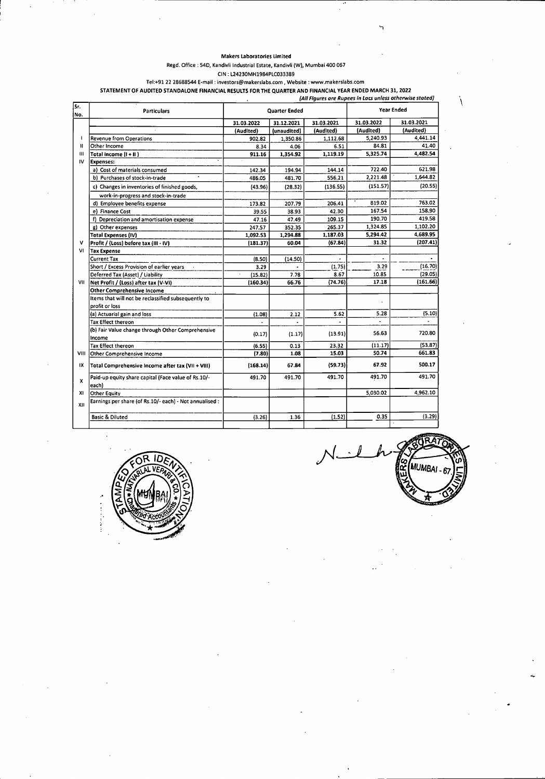Regd. Office : 54D, Kandivli Industrial Estate, Kandivli (W), Mumbai 400 067 CIN : L24230MH1984PLC033389

Tel:+91 22 28688544 E-mail: [investors@makerslabs.com,](mailto:investors@makerslabs.com) Website : [www.makerslabs.com](http://www.makerslabs.com) **STATEMENT OF AUDITED STANDALONE FINANCIAL RESULTS FOR THE QUARTER AND FINANCIAL YEAR ENDED MARCH 31, 2022**

| lNo.         |                                                              |                     | Quarter Ended |            |            | <b>Year Ended</b> |
|--------------|--------------------------------------------------------------|---------------------|---------------|------------|------------|-------------------|
|              |                                                              | 31.03.2022          | 31.12.2021    | 31.03.2021 | 31.03.2022 | 31.03.2021        |
|              |                                                              | (Audited)           | (unaudited)   | (Audited)  | (Audited)  | (Audited)         |
|              | Revenue from Operations                                      | 902.82              | 1,350.86      | 1,112.68   | 5,240.93   | 4,441.14          |
| Ш            | Other Income                                                 | 8.34                | 4.06          | 6.51       | 84.81      | 41.40             |
| $\mathbf{m}$ | Total income (I + II)                                        | 911.16              | 1,354.92      | 1,119.19   | 5,325.74   | 4,482.54          |
| IV           | Expenses:                                                    |                     |               |            |            |                   |
|              | a) Cost of materials consumed                                | 142.34              | 194.94        | 144.14     | 722.40     | 621.98            |
|              | b) Purchases of stock-in-trade                               | 486.05              | 481.70        | 556.21     | 2,221.48   | 1,644.82          |
|              | c) Changes in inventories of finished goods,                 | (43.96)             | (28.32)       | (136.55)   | (151.57)   | (20.55)           |
|              | work-in-progress and stock-in-trade                          |                     |               |            |            |                   |
|              | d) Employee benefits expense                                 | 173.82              | 207.79        | 206.41     | 819.02     | 763.02            |
|              | e) Finance Cost                                              | 39.55               | 38.93         | 42.30      | 167.54     | 158.90            |
|              | f) Depreciation and amortisation expense                     | 47.16               | 47.49         | 109.15     | 190.70     | 419.58            |
|              | g) Other expenses                                            | 247.57              | 352.35        | 265.37     | 1,324.85   | 1,102.20          |
|              | Total Expenses (IV)                                          | 1,092.53            | 1,294.88      | 1,187.03   | 5,294.42   | 4,689.95          |
| v            | Profit / (Loss) before tax (III - IV)                        | (181.37)            | 60.04         | (67.84)    | 31.32      | (207.41)          |
| VI           | <b>Tax Expense</b>                                           |                     |               |            |            |                   |
|              | <b>Current Tax</b>                                           | (8.50)              | (14.50)       |            |            |                   |
|              | Short / Excess Provision of earlier years                    | 3.29                |               | (1.75)     | 3.29       | (16.70)           |
|              | Deferred Tax (Asset) / Liability                             | $\alpha$<br>(15.82) | 7.78          | 8.67       | 10.85      | (29.05)           |
| VII          | Net Profit / (Loss) after tax (V-VI)                         | (160.34)            | 66.76         | (74.76)    | 17.18      | (161.66)          |
|              | <b>Other Comprehensive Income</b>                            |                     |               |            |            |                   |
|              | Items that will not be reclassified subsequently to          |                     |               |            |            |                   |
|              | profit or loss                                               |                     |               |            |            |                   |
|              | (a) Actuarial gain and loss                                  | (1.08)              | 2.12          | 5.62       | 5.28       | (5.10)            |
|              | <b>Tax Effect thereon</b>                                    |                     |               |            |            |                   |
|              | (b) Fair Value change through Other Comprehensive<br>Income  | (0.17)              | (1.17)        | (13.91)    | 56.63      | 720.80            |
|              | <b>Tax Effect thereon</b>                                    | (6.55)              | 0.13          | 23.32      | (11.17)    | (53.87)           |
| VIII         | Other Comprehensive Income                                   | (7.80)              | 1.08          | 15.03      | 50.74      | 661.83            |
| łХ           | Total Comprehensive Income after tax (VII + VIII)            | (168.14)            | 67.84         | (59.73)    | 67.92      | 500.17            |
| x            | Paid-up equity share capital (Face value of Rs.10/-<br>each) | 491.70              | 491.70        | 491.70     | 491.70     | 491.70            |
| ХI           | <b>Other Equity</b>                                          |                     |               |            | 5,030.02   | 4,962.10          |
| XII          | Earnings per share (of Rs.10/- each) - Not annualised :      |                     |               |            |            |                   |
|              | <b>Basic &amp; Diluted</b>                                   | (3.26)              | 1.36          | (1.52)     | 0.35       | (3.29)            |
|              |                                                              |                     |               |            |            |                   |



**, -** *J***MUMBA**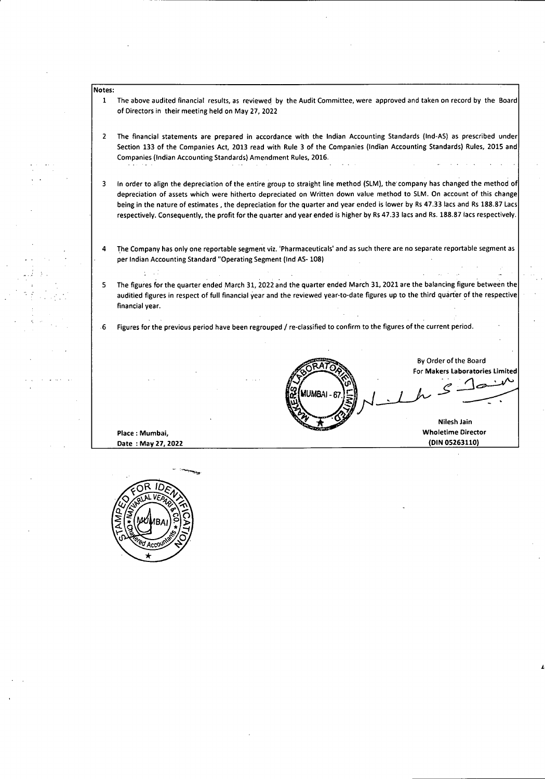- Notes:
	- The above audited financial results, as reviewed by the Audit Committee, were approved and taken on record by the Board of Directors in their meeting held on May 27, 2022 1
	- The financial statements are prepared in accordance with the Indian Accounting Standards (Ind-AS) as prescribed under Section 133 of the Companies Act, 2013 read with Rule 3 of the Companies (Indian Accounting Standards) Rules, 2015 and Companies (Indian Accounting Standards) Amendment Rules, 2016. 2
	- In order to align the depreciation of the entire group to straight line method (SLM), the'company has changed the method of depreciation of assets which were hitherto depreciated on Written down value method to SLM. On account of this change being in the nature of estimates , the depreciation for the quarter and year ended is lower by Rs 47.33 lacs and Rs 188.87 Lacs respectively. Consequently, the profit for the quarter and year ended is higher by Rs 47.33 lacs and Rs. 188.87 lacs respectively. 3
	- The Company has only one reportable segment viz. 'Pharmaceuticals' and as such there are no separate reportable segment as per Indian Accounting Standard "Operating Segment (Ind AS-108) 4
	- The figures for the quarter ended March 31, 2022 and the quarter ended March 31, 2021 are the balancing figure between the auditied figures in respect of full financial year and the reviewed year-to-date figures up to the third quarter of the respective financial year. 5

**AUMBA** 

By Order of the Board For **Makers Laboratories Limited**

**Nilesh Jain Wholetime Director (DIN 05263110)**

*l*

<sup>6</sup> Figures for the previous period have been regrouped / re-classified to confirm to the figures of the current period.

**Place: Mumbai, Date : May 27, 2022**

**CORIDENTS**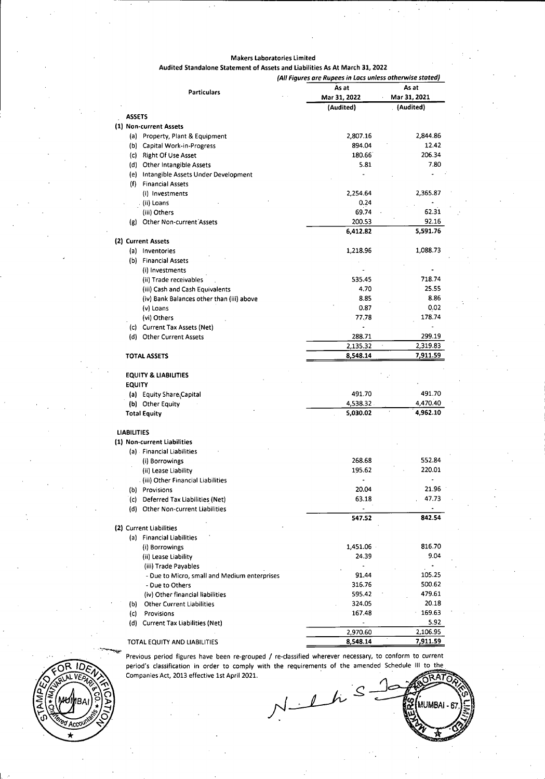#### **Makers Laboratories Limited**

## **Audited Standalone Statement of Assets and Liabilities As At March 31,2022**

|                    |                                              | (All Figures are Rupees in Lacs unless otherwise stated) |              |
|--------------------|----------------------------------------------|----------------------------------------------------------|--------------|
|                    | <b>Particulars</b>                           | As at                                                    | As at        |
|                    |                                              | Mar 31, 2022                                             | Mar 31, 2021 |
|                    |                                              | (Audited)                                                | . (Audited)  |
| <b>ASSETS</b>      |                                              |                                                          |              |
|                    | (1) Non-current Assets                       |                                                          |              |
|                    | (a) Property, Plant & Equipment              | 2,807.16                                                 | 2,844.86     |
|                    | (b) Capital Work-in-Progress                 | 894.04                                                   | 12.42        |
|                    | (c) Right Of Use Asset                       | 180.66                                                   | 206.34       |
|                    | (d) Other Intangible Assets                  | 5.81                                                     | 7.80         |
|                    | (e) Intangible Assets Under Development      |                                                          |              |
|                    | (f) Financial Assets                         |                                                          |              |
|                    | (i) Investments                              | 2,254.64                                                 | 2,365.87     |
|                    | ii) Loans) (                                 | 0.24                                                     |              |
|                    | (iii) Others                                 | 69.74                                                    | 62.31        |
|                    | (g) Other Non-current Assets                 | 200.53                                                   | 92.16        |
|                    |                                              | 6,412.82                                                 | 5,591.76     |
|                    | (2) Current Assets                           |                                                          |              |
|                    | (a) Inventories                              | 1,218.96                                                 | 1,088.73     |
|                    | (b) Financial Assets                         |                                                          |              |
|                    | (i) Investments                              |                                                          |              |
|                    | (ii) Trade receivables                       | 535.45                                                   | 718.74       |
|                    | (iii) Cash and Cash Equivalents              | 4.70                                                     | 25.55        |
|                    | (iv) Bank Balances other than (iii) above    | 8.85                                                     | 8.86         |
|                    | (v) Loans                                    | 0.87                                                     | 0.02         |
|                    | (vi) Others                                  | 77.78                                                    | 178.74       |
|                    | (c) Current Tax Assets (Net)                 |                                                          |              |
|                    | (d) Other Current Assets                     | 288.71                                                   | 299.19       |
|                    |                                              | 2,135.32                                                 | 2,319.83     |
|                    | <b>TOTAL ASSETS</b>                          | 8,548.14                                                 | 7,911.59     |
|                    | <b>EQUITY &amp; LIABILITIES</b>              |                                                          |              |
| <b>EQUITY</b>      |                                              |                                                          |              |
|                    |                                              | 49170                                                    | 491.70       |
|                    | (a) Equity Share Capital                     |                                                          | 4,470.40     |
|                    | (b) Other Equity                             | 4,538.32<br>5,030.02                                     | 4,962.10     |
|                    | <b>Total Equity</b>                          |                                                          |              |
| <b>LIABILITIES</b> |                                              |                                                          |              |
|                    | (1) Non-current Liabilities                  |                                                          |              |
|                    | (a) Financial Liabilities                    |                                                          |              |
|                    | (i) Borrowings                               | 268.68                                                   | 552.84       |
|                    | (ii) Lease Liability                         | 195.62                                                   | 220.01       |
|                    | . (iii) Other Financial Liabilities          |                                                          | ä,           |
|                    | (b) Provisions                               | 20.04                                                    | 21.96        |
|                    | (c) Deferred Tax Liabilities (Net)           | 63.18                                                    | 47.73        |
|                    | (d) Other Non-current Liabilities            |                                                          |              |
|                    |                                              | 547.52                                                   | 842.54       |
|                    | (2) Current Liabilities                      |                                                          |              |
|                    | (a) Financial Liabilities                    |                                                          |              |
|                    | (i) Borrowings                               | 1,451.06                                                 | 816.70       |
|                    |                                              | 24.39                                                    | 9.04         |
|                    | (ii) Lease Liability                         |                                                          |              |
|                    | (iii) Trade Payables                         | 91.44                                                    | 105.25       |
|                    | - Due to Micro, small and Medium enterprises |                                                          |              |
|                    | - Due to Others                              | 316.76                                                   | 500.62       |
|                    | (iv) Other financial liabilities             | 595.42                                                   | 479.61       |
| (b)                | <b>Other Current Liabilities</b>             | 324.05                                                   | 20.18        |
| (c)                | Provisions                                   | 167.48                                                   | 169.63       |
|                    | (d) Current Tax Liabilities (Net)            | -                                                        | 5.92         |
|                    |                                              | 2,970.60                                                 | 2,106.95     |
|                    | TOTAL EQUITY AND LIABILITIES                 | 8,548.14                                                 | 7,911.59     |

Previous period figures have been re-grouped / re-classified wherever necessary, to conform to current period's classification in order to comply with the requirements of the amended Schedule III to the Companies Act, 2013 effective 1st April 2021.



SRATO  $N-1$ MUMBAI-6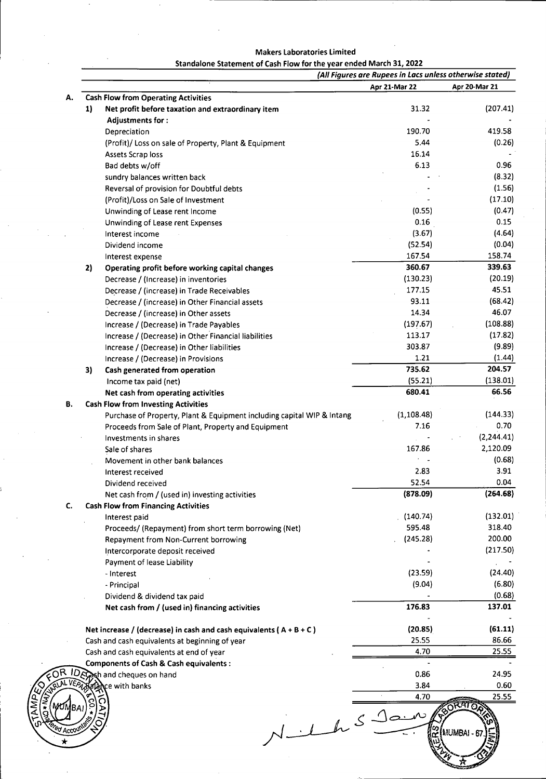| Standalone Statement of Cash Flow for the year ended March 31, 2022 |  |  |
|---------------------------------------------------------------------|--|--|
|---------------------------------------------------------------------|--|--|

|                                                                        |                                                                                                                                                                                                                                                                                                                                                                                                                                                                                                                                                                                                                                                                                                                                                                                                                                                                                                                                                                                                                                                                                                       | (All Figures are Rupees in Lacs unless otherwise stated)                                                                                                                                                                       |
|------------------------------------------------------------------------|-------------------------------------------------------------------------------------------------------------------------------------------------------------------------------------------------------------------------------------------------------------------------------------------------------------------------------------------------------------------------------------------------------------------------------------------------------------------------------------------------------------------------------------------------------------------------------------------------------------------------------------------------------------------------------------------------------------------------------------------------------------------------------------------------------------------------------------------------------------------------------------------------------------------------------------------------------------------------------------------------------------------------------------------------------------------------------------------------------|--------------------------------------------------------------------------------------------------------------------------------------------------------------------------------------------------------------------------------|
|                                                                        | Apr 21-Mar 22                                                                                                                                                                                                                                                                                                                                                                                                                                                                                                                                                                                                                                                                                                                                                                                                                                                                                                                                                                                                                                                                                         | Apr 20-Mar 21                                                                                                                                                                                                                  |
| <b>Cash Flow from Operating Activities</b>                             |                                                                                                                                                                                                                                                                                                                                                                                                                                                                                                                                                                                                                                                                                                                                                                                                                                                                                                                                                                                                                                                                                                       |                                                                                                                                                                                                                                |
| 1)<br>Net profit before taxation and extraordinary item                | 31.32                                                                                                                                                                                                                                                                                                                                                                                                                                                                                                                                                                                                                                                                                                                                                                                                                                                                                                                                                                                                                                                                                                 | (207.41)                                                                                                                                                                                                                       |
| <b>Adjustments for:</b>                                                |                                                                                                                                                                                                                                                                                                                                                                                                                                                                                                                                                                                                                                                                                                                                                                                                                                                                                                                                                                                                                                                                                                       |                                                                                                                                                                                                                                |
| Depreciation                                                           | 190.70                                                                                                                                                                                                                                                                                                                                                                                                                                                                                                                                                                                                                                                                                                                                                                                                                                                                                                                                                                                                                                                                                                | 419.58                                                                                                                                                                                                                         |
| (Profit)/ Loss on sale of Property, Plant & Equipment                  | 5.44                                                                                                                                                                                                                                                                                                                                                                                                                                                                                                                                                                                                                                                                                                                                                                                                                                                                                                                                                                                                                                                                                                  | (0.26)                                                                                                                                                                                                                         |
| Assets Scrap loss                                                      | 16.14                                                                                                                                                                                                                                                                                                                                                                                                                                                                                                                                                                                                                                                                                                                                                                                                                                                                                                                                                                                                                                                                                                 |                                                                                                                                                                                                                                |
| Bad debts w/off                                                        | 6.13                                                                                                                                                                                                                                                                                                                                                                                                                                                                                                                                                                                                                                                                                                                                                                                                                                                                                                                                                                                                                                                                                                  | 0.96                                                                                                                                                                                                                           |
| sundry balances written back                                           |                                                                                                                                                                                                                                                                                                                                                                                                                                                                                                                                                                                                                                                                                                                                                                                                                                                                                                                                                                                                                                                                                                       | (8.32)                                                                                                                                                                                                                         |
|                                                                        |                                                                                                                                                                                                                                                                                                                                                                                                                                                                                                                                                                                                                                                                                                                                                                                                                                                                                                                                                                                                                                                                                                       | (1.56)                                                                                                                                                                                                                         |
|                                                                        |                                                                                                                                                                                                                                                                                                                                                                                                                                                                                                                                                                                                                                                                                                                                                                                                                                                                                                                                                                                                                                                                                                       | (17.10)                                                                                                                                                                                                                        |
|                                                                        | (0.55)                                                                                                                                                                                                                                                                                                                                                                                                                                                                                                                                                                                                                                                                                                                                                                                                                                                                                                                                                                                                                                                                                                | (0.47)                                                                                                                                                                                                                         |
|                                                                        | 0.16                                                                                                                                                                                                                                                                                                                                                                                                                                                                                                                                                                                                                                                                                                                                                                                                                                                                                                                                                                                                                                                                                                  | 0.15                                                                                                                                                                                                                           |
|                                                                        |                                                                                                                                                                                                                                                                                                                                                                                                                                                                                                                                                                                                                                                                                                                                                                                                                                                                                                                                                                                                                                                                                                       | (4.64)                                                                                                                                                                                                                         |
|                                                                        |                                                                                                                                                                                                                                                                                                                                                                                                                                                                                                                                                                                                                                                                                                                                                                                                                                                                                                                                                                                                                                                                                                       | (0.04)                                                                                                                                                                                                                         |
|                                                                        |                                                                                                                                                                                                                                                                                                                                                                                                                                                                                                                                                                                                                                                                                                                                                                                                                                                                                                                                                                                                                                                                                                       | 158.74                                                                                                                                                                                                                         |
|                                                                        |                                                                                                                                                                                                                                                                                                                                                                                                                                                                                                                                                                                                                                                                                                                                                                                                                                                                                                                                                                                                                                                                                                       | 339.63                                                                                                                                                                                                                         |
|                                                                        |                                                                                                                                                                                                                                                                                                                                                                                                                                                                                                                                                                                                                                                                                                                                                                                                                                                                                                                                                                                                                                                                                                       | (20.19)                                                                                                                                                                                                                        |
|                                                                        |                                                                                                                                                                                                                                                                                                                                                                                                                                                                                                                                                                                                                                                                                                                                                                                                                                                                                                                                                                                                                                                                                                       | 45.51                                                                                                                                                                                                                          |
|                                                                        |                                                                                                                                                                                                                                                                                                                                                                                                                                                                                                                                                                                                                                                                                                                                                                                                                                                                                                                                                                                                                                                                                                       |                                                                                                                                                                                                                                |
|                                                                        |                                                                                                                                                                                                                                                                                                                                                                                                                                                                                                                                                                                                                                                                                                                                                                                                                                                                                                                                                                                                                                                                                                       | (68.42)                                                                                                                                                                                                                        |
|                                                                        |                                                                                                                                                                                                                                                                                                                                                                                                                                                                                                                                                                                                                                                                                                                                                                                                                                                                                                                                                                                                                                                                                                       | 46.07                                                                                                                                                                                                                          |
|                                                                        |                                                                                                                                                                                                                                                                                                                                                                                                                                                                                                                                                                                                                                                                                                                                                                                                                                                                                                                                                                                                                                                                                                       | (108.88)                                                                                                                                                                                                                       |
|                                                                        |                                                                                                                                                                                                                                                                                                                                                                                                                                                                                                                                                                                                                                                                                                                                                                                                                                                                                                                                                                                                                                                                                                       | (17.82)                                                                                                                                                                                                                        |
| Increase / (Decrease) in Other liabilities                             |                                                                                                                                                                                                                                                                                                                                                                                                                                                                                                                                                                                                                                                                                                                                                                                                                                                                                                                                                                                                                                                                                                       | (9.89)                                                                                                                                                                                                                         |
| Increase / (Decrease) in Provisions                                    |                                                                                                                                                                                                                                                                                                                                                                                                                                                                                                                                                                                                                                                                                                                                                                                                                                                                                                                                                                                                                                                                                                       | (1.44)                                                                                                                                                                                                                         |
| 3)<br>Cash generated from operation                                    |                                                                                                                                                                                                                                                                                                                                                                                                                                                                                                                                                                                                                                                                                                                                                                                                                                                                                                                                                                                                                                                                                                       | 204.57                                                                                                                                                                                                                         |
| Income tax paid (net)                                                  | (55.21)                                                                                                                                                                                                                                                                                                                                                                                                                                                                                                                                                                                                                                                                                                                                                                                                                                                                                                                                                                                                                                                                                               | (138.01)                                                                                                                                                                                                                       |
| Net cash from operating activities                                     | 680.41                                                                                                                                                                                                                                                                                                                                                                                                                                                                                                                                                                                                                                                                                                                                                                                                                                                                                                                                                                                                                                                                                                | 66.56                                                                                                                                                                                                                          |
| <b>Cash Flow from Investing Activities</b>                             |                                                                                                                                                                                                                                                                                                                                                                                                                                                                                                                                                                                                                                                                                                                                                                                                                                                                                                                                                                                                                                                                                                       |                                                                                                                                                                                                                                |
|                                                                        | (1, 108.48)                                                                                                                                                                                                                                                                                                                                                                                                                                                                                                                                                                                                                                                                                                                                                                                                                                                                                                                                                                                                                                                                                           | (144.33)                                                                                                                                                                                                                       |
| Proceeds from Sale of Plant, Property and Equipment                    | 7.16                                                                                                                                                                                                                                                                                                                                                                                                                                                                                                                                                                                                                                                                                                                                                                                                                                                                                                                                                                                                                                                                                                  | 0.70                                                                                                                                                                                                                           |
| Investments in shares                                                  |                                                                                                                                                                                                                                                                                                                                                                                                                                                                                                                                                                                                                                                                                                                                                                                                                                                                                                                                                                                                                                                                                                       | (2, 244.41)                                                                                                                                                                                                                    |
|                                                                        | 167.86                                                                                                                                                                                                                                                                                                                                                                                                                                                                                                                                                                                                                                                                                                                                                                                                                                                                                                                                                                                                                                                                                                | 2,120.09                                                                                                                                                                                                                       |
| Movement in other bank balances                                        |                                                                                                                                                                                                                                                                                                                                                                                                                                                                                                                                                                                                                                                                                                                                                                                                                                                                                                                                                                                                                                                                                                       | (0.68)                                                                                                                                                                                                                         |
|                                                                        | 2.83                                                                                                                                                                                                                                                                                                                                                                                                                                                                                                                                                                                                                                                                                                                                                                                                                                                                                                                                                                                                                                                                                                  | 3.91                                                                                                                                                                                                                           |
|                                                                        |                                                                                                                                                                                                                                                                                                                                                                                                                                                                                                                                                                                                                                                                                                                                                                                                                                                                                                                                                                                                                                                                                                       | 0.04                                                                                                                                                                                                                           |
|                                                                        |                                                                                                                                                                                                                                                                                                                                                                                                                                                                                                                                                                                                                                                                                                                                                                                                                                                                                                                                                                                                                                                                                                       | (264.68)                                                                                                                                                                                                                       |
|                                                                        |                                                                                                                                                                                                                                                                                                                                                                                                                                                                                                                                                                                                                                                                                                                                                                                                                                                                                                                                                                                                                                                                                                       |                                                                                                                                                                                                                                |
|                                                                        |                                                                                                                                                                                                                                                                                                                                                                                                                                                                                                                                                                                                                                                                                                                                                                                                                                                                                                                                                                                                                                                                                                       | (132.01)                                                                                                                                                                                                                       |
|                                                                        |                                                                                                                                                                                                                                                                                                                                                                                                                                                                                                                                                                                                                                                                                                                                                                                                                                                                                                                                                                                                                                                                                                       | 318.40                                                                                                                                                                                                                         |
|                                                                        |                                                                                                                                                                                                                                                                                                                                                                                                                                                                                                                                                                                                                                                                                                                                                                                                                                                                                                                                                                                                                                                                                                       | 200.00                                                                                                                                                                                                                         |
|                                                                        |                                                                                                                                                                                                                                                                                                                                                                                                                                                                                                                                                                                                                                                                                                                                                                                                                                                                                                                                                                                                                                                                                                       | (217.50)                                                                                                                                                                                                                       |
|                                                                        |                                                                                                                                                                                                                                                                                                                                                                                                                                                                                                                                                                                                                                                                                                                                                                                                                                                                                                                                                                                                                                                                                                       |                                                                                                                                                                                                                                |
|                                                                        |                                                                                                                                                                                                                                                                                                                                                                                                                                                                                                                                                                                                                                                                                                                                                                                                                                                                                                                                                                                                                                                                                                       |                                                                                                                                                                                                                                |
|                                                                        |                                                                                                                                                                                                                                                                                                                                                                                                                                                                                                                                                                                                                                                                                                                                                                                                                                                                                                                                                                                                                                                                                                       | (24.40)                                                                                                                                                                                                                        |
|                                                                        |                                                                                                                                                                                                                                                                                                                                                                                                                                                                                                                                                                                                                                                                                                                                                                                                                                                                                                                                                                                                                                                                                                       | (6.80)                                                                                                                                                                                                                         |
|                                                                        |                                                                                                                                                                                                                                                                                                                                                                                                                                                                                                                                                                                                                                                                                                                                                                                                                                                                                                                                                                                                                                                                                                       | (0.68)                                                                                                                                                                                                                         |
|                                                                        |                                                                                                                                                                                                                                                                                                                                                                                                                                                                                                                                                                                                                                                                                                                                                                                                                                                                                                                                                                                                                                                                                                       | 137.01                                                                                                                                                                                                                         |
| Net increase / (decrease) in cash and cash equivalents ( $A + B + C$ ) | (20.85)                                                                                                                                                                                                                                                                                                                                                                                                                                                                                                                                                                                                                                                                                                                                                                                                                                                                                                                                                                                                                                                                                               | (61.11)                                                                                                                                                                                                                        |
| Cash and cash equivalents at beginning of year                         |                                                                                                                                                                                                                                                                                                                                                                                                                                                                                                                                                                                                                                                                                                                                                                                                                                                                                                                                                                                                                                                                                                       | 86.66                                                                                                                                                                                                                          |
| Cash and cash equivalents at end of year                               | 4.70                                                                                                                                                                                                                                                                                                                                                                                                                                                                                                                                                                                                                                                                                                                                                                                                                                                                                                                                                                                                                                                                                                  | 25.55                                                                                                                                                                                                                          |
| <b>Components of Cash &amp; Cash equivalents:</b>                      |                                                                                                                                                                                                                                                                                                                                                                                                                                                                                                                                                                                                                                                                                                                                                                                                                                                                                                                                                                                                                                                                                                       |                                                                                                                                                                                                                                |
| Evest and cheques on hand                                              | 0.86                                                                                                                                                                                                                                                                                                                                                                                                                                                                                                                                                                                                                                                                                                                                                                                                                                                                                                                                                                                                                                                                                                  | 24.95                                                                                                                                                                                                                          |
|                                                                        |                                                                                                                                                                                                                                                                                                                                                                                                                                                                                                                                                                                                                                                                                                                                                                                                                                                                                                                                                                                                                                                                                                       | 0.60                                                                                                                                                                                                                           |
| a ance with banks                                                      | 3.84                                                                                                                                                                                                                                                                                                                                                                                                                                                                                                                                                                                                                                                                                                                                                                                                                                                                                                                                                                                                                                                                                                  |                                                                                                                                                                                                                                |
|                                                                        | 4.70                                                                                                                                                                                                                                                                                                                                                                                                                                                                                                                                                                                                                                                                                                                                                                                                                                                                                                                                                                                                                                                                                                  | 25.55                                                                                                                                                                                                                          |
|                                                                        | $S$ Jain                                                                                                                                                                                                                                                                                                                                                                                                                                                                                                                                                                                                                                                                                                                                                                                                                                                                                                                                                                                                                                                                                              |                                                                                                                                                                                                                                |
|                                                                        | Reversal of provision for Doubtful debts<br>(Profit)/Loss on Sale of Investment<br>Unwinding of Lease rent Income<br>Unwinding of Lease rent Expenses<br>Interest income<br>Dividend income<br>Interest expense<br>2)<br>Operating profit before working capital changes<br>Decrease / (Increase) in inventories<br>Decrease / (increase) in Trade Receivables<br>Decrease / (increase) in Other Financial assets<br>Decrease / (increase) in Other assets<br>Increase / (Decrease) in Trade Payables<br>Increase / (Decrease) in Other Financial liabilities<br>Purchase of Property, Plant & Equipment including capital WIP & Intang<br>Sale of shares<br>Interest received<br>Dividend received<br>Net cash from / (used in) investing activities<br><b>Cash Flow from Financing Activities</b><br>Interest paid<br>Proceeds/ (Repayment) from short term borrowing (Net)<br>Repayment from Non-Current borrowing<br>Intercorporate deposit received<br>Payment of lease Liability<br>- Interest<br>- Principal<br>Dividend & dividend tax paid<br>Net cash from / (used in) financing activities | (3.67)<br>(52.54)<br>167.54<br>360.67<br>(130.23)<br>177.15<br>93.11<br>14.34<br>(197.67)<br>113.17<br>303.87<br>1.21<br>735.62<br>52.54<br>(878.09)<br>(140.74)<br>595.48<br>(245.28)<br>(23.59)<br>(9.04)<br>176.83<br>25.55 |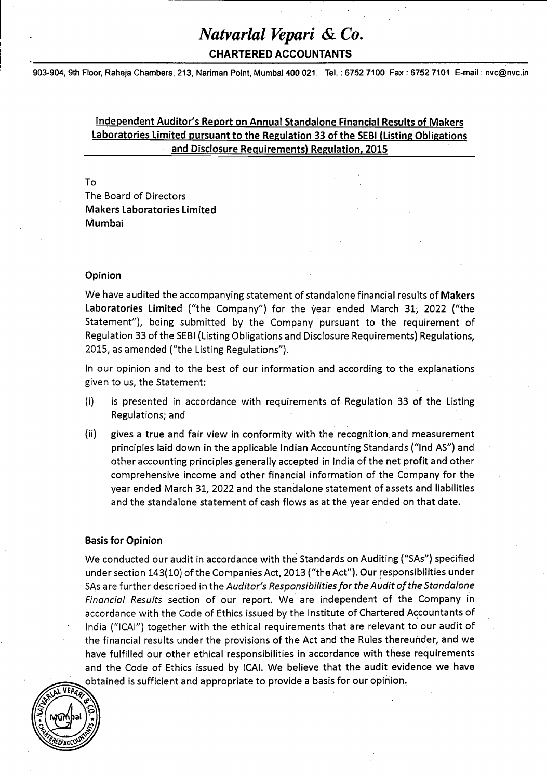**CHARTERED ACCOUNTANTS**

903-904, 9th Floor, Raheja Chambers, 213, Nariman Point, Mumbai 400 021. Tel.: 6752 7100 Fax : 6752 7101 E-mail: [nvc@nvc.in](mailto:nvc@nvc.in)

## **Independent Auditor's Report on Annual Standalone Financial Results of Makers Laboratories Limited pursuant to the Regulation 33 of the SEBI (Listing Obligations and Disclosure Requirements) Regulation. 2015**

### To

The Board of Directors Makers **Laboratories Limited Mumbai**

### **Opinion**

We have audited the accompanying statement of standalone financial results of **Makers Laboratories Limited** ("the Company") for the year ended March 31, 2022 ("the Statement"), being submitted by the Company pursuant to the requirement of Regulation 33 of the SEBI (Listing Obligations and Disclosure Requirements) Regulations, 2015, as amended ("the Listing Regulations").

In our opinion and to the best of our information and according to the explanations given to us, the Statement:

- (i) is presented in accordance with requirements of Regulation 33 of the Listing Regulations; and
- (ii) gives a true and fair view in conformity with the recognition and measurement principles laid down in the applicable Indian Accounting Standards ("Ind AS") and other accounting principles generally accepted in India of the net profit and other comprehensive income and other financial information of the Company for the year ended March 31, 2022 and the standalone statement of assets and liabilities and the standalone statement of cash flows as at the year ended on that date.

## **Basis for Opinion**

We conducted our audit in accordance with the Standards on Auditing ("SAs") specified under section 143(10) of the Companies Act, 2013 ("the Act"). Our responsibilities under SAs are further described in the *Auditor's ResponsibilitiesfortheAudit ofthe Standalone Financial Results* section of our report. We are independent of the Company in accordance with the Code of Ethics issued by the Institute of Chartered Accountants of India ("ICAI") together with the ethical requirements that are relevant to our audit of the financial results under the provisions of the Act and the Rules thereunder, and we have fulfilled our other ethical responsibilities in accordance with these requirements and the Code of Ethics issued by ICAI. We believe that the audit evidence we have ^obtained is sufficient and appropriate to provide <sup>a</sup> basis for our opinion.

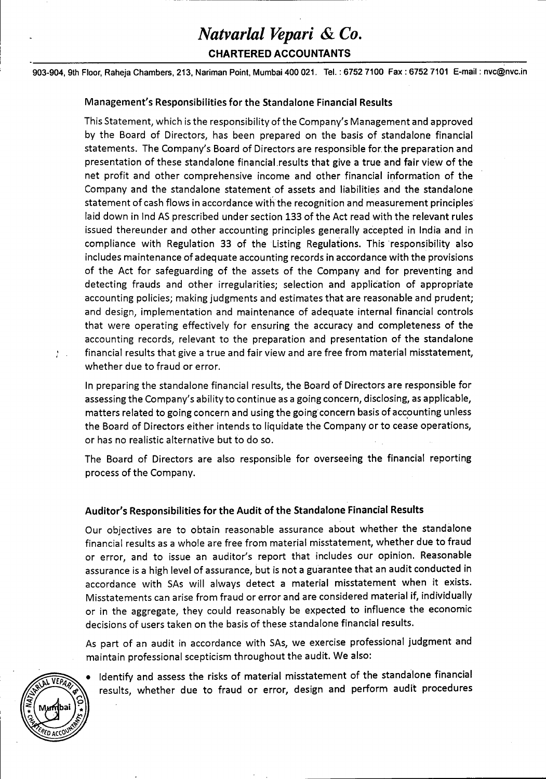**CHARTERED ACCOUNTANTS**

903-904, 9th Floor, Raheja Chambers, 213, Nariman Point, Mumbai 400 021. Tel.: 6752 7100 Fax : 6752 7101 E-mail: [nvc@nvc.in](mailto:nvc@nvc.in)

### Management's Responsibilities **for the Standalone Financial Results**

This Statement, which is the responsibility ofthe Company's Management and approved by the Board of Directors, has been prepared on the basis of standalone financial statements. The Company's Board of Directors are responsible for the preparation and presentation of these standalone financial.results that give <sup>a</sup> true and fair view of the net profit and other comprehensive income and other financial information of the Company and the standalone statement of assets and liabilities and the standalone statement of cash flows in accordance with the recognition and measurement principles laid down in Ind AS prescribed under section 133 of the Act read with the relevant rules issued thereunder and other accounting principles generally accepted in India and in compliance with Regulation 33 of the Listing Regulations. This responsibility also includes maintenance of adequate accounting records in accordance with the provisions of the Act for safeguarding of the assets of the Company and for preventing and detecting frauds and other irregularities; selection and application of appropriate accounting policies; making judgments and estimates that are reasonable and prudent; and design, implementation and maintenance of adequate internal financial controls that were operating effectively for ensuring the accuracy and completeness of the accounting records, relevant to the preparation and presentation of the standalone ; . financial results that give a true and fair view and are free from material misstatement, whether due to fraud or error.

In preparing the standalone financial results, the Board of Directors are responsible for assessing the Company's ability to continue as <sup>a</sup> going concern, disclosing, as applicable, matters related to going concern and using the going concern basis of accounting unless the Board of Directors either intends to liquidate the Company or to cease operations, or has no realistic alternative but to do so.

The Board of Directors are also responsible for overseeing the financial reporting process of the Company.

## **Auditor's Responsibilities for the Audit of the Standalone Financial Results**

Our objectives are to obtain reasonable assurance about whether the standalone financial results as <sup>a</sup> whole are free from material misstatement, whether due to fraud or error, and to issue an auditor's report that includes our opinion. Reasonable assurance is a high level of assurance, but is not <sup>a</sup> guarantee that an audit conducted in accordance with SAs will always detect a material misstatement when it exists. Misstatements can arise from fraud or error and are considered material if, individually or in the aggregate, they could reasonably be expected to influence the economic decisions of users taken on the basis of these standalone financial results.

As part of an audit in accordance with SAs, we exercise professional judgment and maintain professional scepticism throughout the audit. We also:

• Identify and assess the risks of material misstatement of the standalone financial results, whether due to fraud or error, design and perform audit procedures

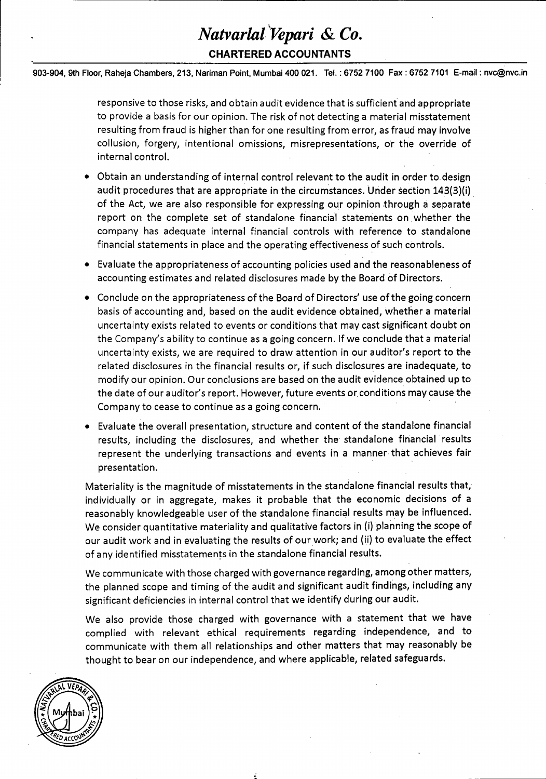## *Natvarlal Vepari &Co.* **CHARTERED ACCOUNTANTS**

903-904, 9th Floor, Raheja Chambers, 213, Nariman Point, Mumbai 400 021. Tel.: 6752 7100 Fax : 6752 7101 E-mail: [nvc@nvc.in](mailto:nvc@nvc.in)

responsive to those risks, and obtain audit evidence that is sufficient and appropriate to provide <sup>a</sup> basis for our opinion. The risk of not detecting a material misstatement resulting from fraud is higher than for one resulting from error, as fraud may involve collusion, forgery, intentional omissions, misrepresentations, or the override of internal control.

- Obtain an understanding of internal control relevant to the audit in order to design audit procedures that are appropriate in the circumstances. Under section 143(3)(i) of the Act, we are also responsible for expressing our opinion through <sup>a</sup> separate report on the complete set of standalone financial statements on whether the company has adequate internal financial controls with reference to standalone financial statements in place and the operating effectiveness of such controls.
- Evaluate the appropriateness of accounting policies used and the reasonableness of accounting estimates and related disclosures made by the Board of Directors.
- Conclude on the appropriateness ofthe Board of Directors' use ofthe going concern basis of accounting and, based on the audit evidence obtained, whether a material uncertainty exists related to events or conditions that may cast significant doubt on the Company's ability to continue as a going concern. If we conclude that <sup>a</sup> material uncertainty exists, we are required to draw attention in our auditor's report to the related disclosures in the financial results or, if such disclosures are inadequate, to modify our opinion. Our conclusions are based on the audit evidence obtained up to the date of our auditor's report. However, future events or.conditions may cause the Company to cease to continue as <sup>a</sup> going concern.
- Evaluate the overall presentation, structure and content of the standalone financial results, including the disclosures, and whether the standalone financial results represent the underlying transactions and events in a manner that achieves fair presentation.

Materiality is the magnitude of misstatements in the standalone financial results that, individually or in aggregate, makes it probable that the economic decisions of <sup>a</sup> reasonably knowledgeable user of the standalone financial results may be influenced. We consider quantitative materiality and qualitative factors in (i) planning the scope of our audit work and in evaluating the results of our work; and (ii) to evaluate the effect of any identified misstatements in the standalone financial results.

We communicate with those charged with governance regarding, among other matters, the planned scope and timing of the audit and significant audit findings, including any significant deficiencies in internal control that we identify during our audit.

We also provide those charged with governance with a statement that we have complied with relevant ethical requirements regarding independence, and to communicate with them all relationships and other matters that may reasonably be thought to bear on our independence, and where applicable, related safeguards.

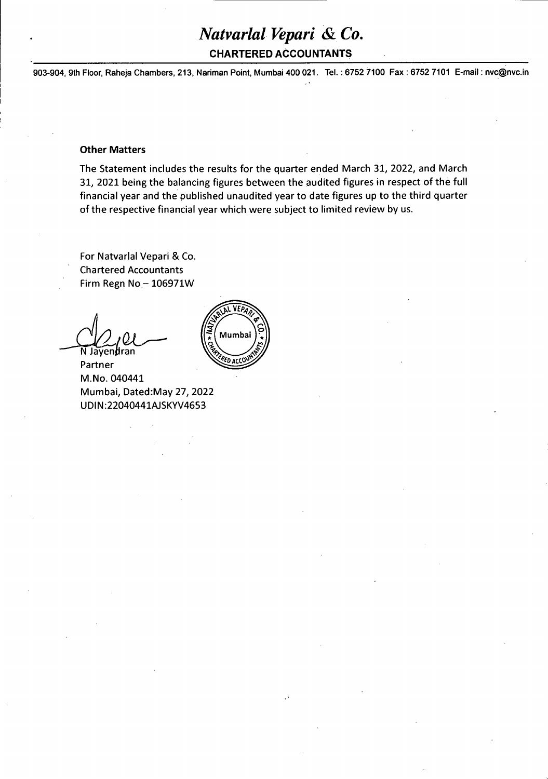## **CHARTERED ACCOUNTANTS**

903-904, 9th Floor, Raheja Chambers, 213, Nariman Point, Mumbai 400 021. Tel.: 6752 7100 Fax : 6752 7101 E-mail: [nvc@nvc.in](mailto:nvc@nvc.in)

### **Other Matters**

The Statement includes the results for the quarter ended March 31, 2022, and March 31, 2021 being the balancing figures between the audited figures in respect of the full financial year and the published unaudited year to date figures up to the third quarter of the respective financial year which were subject to limited review by us.

For Natvarlal Vepari & Co. Chartered Accountants Firm Regn  $No - 106971W$ 

N Jayendran

Partner M.No. 040441 Mumbai, Dated:May 27, 2022 UDIN:22040441AJSKYV4653

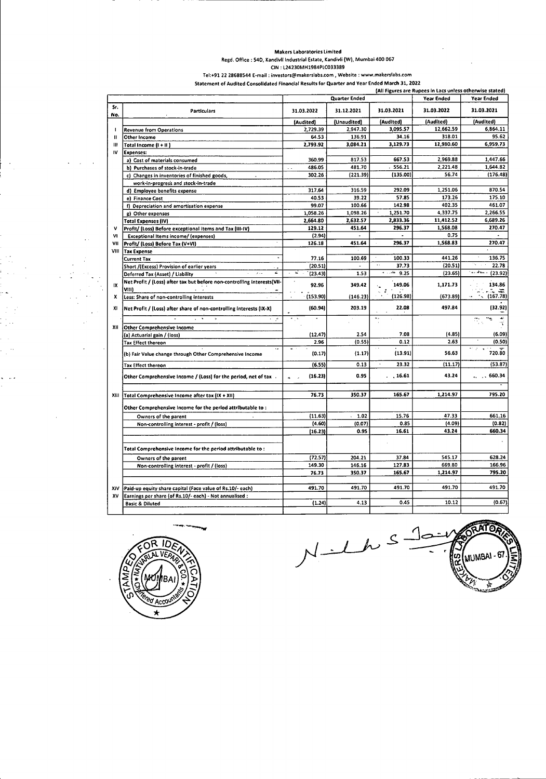#### **Makers Laboratories Limited**

**Regd. Office : 54D, Kandivli Industrial Estate, Kandivli (W), Mumbai 400 067**

**ON : L24230MH1984PLC033389**

**Tel:+91 22 28688544 E\*mail: [investors@makerslabs.com](mailto:investors@makerslabs.com), Website : [www.makersiabs.com](http://www.makersiabs.com)**

|  |  |  |  | Statement of Audited Consolidated Financial Results for Quarter and Year Ended March 31, 2022 |  |
|--|--|--|--|-----------------------------------------------------------------------------------------------|--|
|  |  |  |  |                                                                                               |  |

|              |                                                                                  |                     |               |                                             | (All Figures are Rupees in Lacs unless otherwise stated) |                    |
|--------------|----------------------------------------------------------------------------------|---------------------|---------------|---------------------------------------------|----------------------------------------------------------|--------------------|
|              |                                                                                  |                     | Quarter Ended |                                             | Year Ended                                               | Year Ended         |
| Sr.<br>No.   | Particulars                                                                      | 31.03.2022          | 31.12.2021    | 31.03.2021                                  | 31.03.2022                                               | 31.03.2021         |
|              |                                                                                  | (Audited)           | (Unaudited)   | (Audited)                                   | (Audited)                                                | (Audited)          |
| $\mathbf{I}$ | <b>Revenue from Operations</b>                                                   | 2,729.39            | 2,947.30      | 3,095.57                                    | 12,662.59                                                | 6,864.11           |
| п            | Other Income                                                                     | 64.53               | 136.91        | 34.16                                       | 318.01                                                   | 95.62              |
| $\mathbf{m}$ | Total Income (I + II )                                                           | 2,793.92            | 3,084.21      | 3,129.73                                    | 12,980.60                                                | 6,959.73           |
| IV           | <b>Expenses:</b>                                                                 |                     |               |                                             |                                                          |                    |
|              | a) Cost of materials consumed                                                    | 360.99              | 817.53        | 667.53                                      | 2,969.88                                                 | 1,447.66           |
|              | b) Purchases of stock-in-trade                                                   | 486.05<br>$\ddotsc$ | 481.70        | 556.21                                      | 2,221.48                                                 | 1,644.82           |
|              | c) Changes in inventories of finished goods,                                     | 302.26              | (221.39)      | (135.00)                                    | 56.74                                                    | (176.48)           |
|              | work-in-progress and stock-in-trade                                              |                     |               |                                             |                                                          |                    |
|              | d) Employee benefits expense                                                     | 317.64              | 316.59        | 292.09                                      | 1,251.06                                                 | 870.54             |
|              | e) Finance Cost                                                                  | 40.53               | 39.22         | 57.85                                       | 173.26                                                   | 175.10             |
|              | f) Depreciation and amortisation expense                                         | 99.07               | 100.66        | 142.98                                      | 402.35                                                   | 461.07             |
|              | g) Other expenses                                                                | 1,058.26            | 1,098.26      | 1,251.70                                    | 4,337.75                                                 | 2,266.55           |
|              | <b>Total Expenses (IV)</b>                                                       | 2,664.80            | 2,632.57      | 2,833.36                                    | 11,412.52                                                | 6,689.26           |
| v            | Profit/ (Loss) Before exceptional items and Tax (III-IV)                         | 129.12              | 451.64        | 296.37                                      | 1,568.08                                                 | 270.47             |
| V1           | Exceptional Items income/ (expenses)                                             | (2.94)              |               |                                             | 0.75                                                     |                    |
| VII          | Profit/ (Loss) Before Tax (V+VI)                                                 | 126.18              | 451.64        | 296.37                                      | 1,568.83                                                 | 270.47             |
| VIII         | <b>Tax Expense</b>                                                               |                     |               |                                             |                                                          |                    |
|              | <b>Current Tax</b>                                                               | 77.16               | 100.69        | $\bullet$<br>100.33<br>$\ddot{\phantom{a}}$ | 441.26                                                   | 136.75             |
|              | Short /(Excess) Provision of earlier years<br>z.                                 | (20.51)<br>⋥        |               | 37.73<br>القترراء                           | (20.51)                                                  | 22.78<br>المستطريف |
|              | $\lambda$<br>Deferred Tax (Asset) / Liability                                    | (23.43)             | 1.53          | 9.25                                        | (23.65)                                                  | (23.92)            |
| IX           | Net Profit / (Loss) after tax but before non-controlling interests(VII-<br>VIIII | 92.96               | 349.42        | 149.06                                      | 1,171.73                                                 | 134.86             |
| x            | Less: Share of non-controlling interests                                         | (153.90)            | (146.23)      | (126.98)                                    | (673.89)                                                 | (167.78)           |
| XI           | Net Profit / (Loss) after share of non-controlling interests (IX-X)              | (60.94)             | 203.19        | 22.08                                       | 497.84                                                   | [32.92]            |
|              | $\sqrt{2}$<br>÷, é                                                               |                     |               |                                             |                                                          | 7                  |
| XII          | <b>Other Comprehensive Income</b>                                                |                     |               |                                             |                                                          |                    |
|              | (a) Actuarial gain / (loss)                                                      | (12.47)             | 2.54          | 7.08                                        | (4.85)                                                   | (6.09)             |
|              | <b>Tax Effect thereon</b>                                                        | 2.96                | (0.55)        | 0.12                                        | 2.63                                                     | (0.50)             |
|              | Ξ.<br>(b) Fair Value change through Other Comprehensive Income                   | (0.17)              | (1.17)        | (13.91)                                     | 56.63                                                    | 720.80             |
|              | <b>Tax Effect thereon</b>                                                        | (6.55)              | 0.13          | $\lambda$<br>23.32                          | (11.17)                                                  | (53.87)            |
|              | Other Comprehensive Income / (Loss) for the period, net of tax -                 | (16.23)             | 0.95          | . 16.61                                     | 43.24                                                    | . . 660.34         |
|              |                                                                                  |                     |               |                                             |                                                          | 795.20             |
| XIII         | Total Comprehensive Income after tax (IX + XII)                                  | 76.73               | 350.37        | 165.67                                      | 1,214.97                                                 |                    |
|              | Other Comprehensive Income for the period attributable to:                       |                     |               |                                             |                                                          |                    |
|              | Owners of the parent                                                             | (11.63)             | $-1.02$       | 15.76                                       | 47.33                                                    | 661.16             |
|              | Non-controlling interest - profit / (loss)                                       | (4.60)              | (0.07)        | 0.85                                        | (4.09)                                                   | (0.82)             |
|              |                                                                                  | (16.23)             | 0.95          | 16.61                                       | 43.24                                                    | 660.34             |
|              | Total Comprehensive Income for the period attributable to:                       |                     |               |                                             |                                                          |                    |
|              | Owners of the parent                                                             | (72.57)             | 204.21        | 37.84                                       | 545.17                                                   | 628.24             |
|              | Non-controlling interest - profit / (loss)                                       | 149.30              | 146.16        | 127.83                                      | 669.80                                                   | 166.96             |
|              |                                                                                  | 76.73               | 350.37        | 165.67                                      | 1,214.97                                                 | 795.20             |
|              |                                                                                  |                     |               |                                             |                                                          |                    |
|              |                                                                                  | 491.70              | 491.70        | 491.70                                      | 491.70                                                   | 491.70             |
| XIV          | Paid-up equity share capital (Face value of Rs.10/- each)                        |                     |               |                                             |                                                          |                    |
| XV           | Earnings per share (of Rs.10/- each) - Not annualised :                          |                     |               |                                             |                                                          |                    |
|              | <b>Basic &amp; Diluted</b>                                                       | (1.24)              | 4.13          | 0.45                                        | 10.12                                                    | (0.67)             |



 $\ddot{\phantom{0}}$ 

 $\sim$  $\ddot{\phantom{0}}$ 

**ATOR**  $\leq$  $N-Lh$ MUMBAI - 67 <u>က</u><br>ကိ À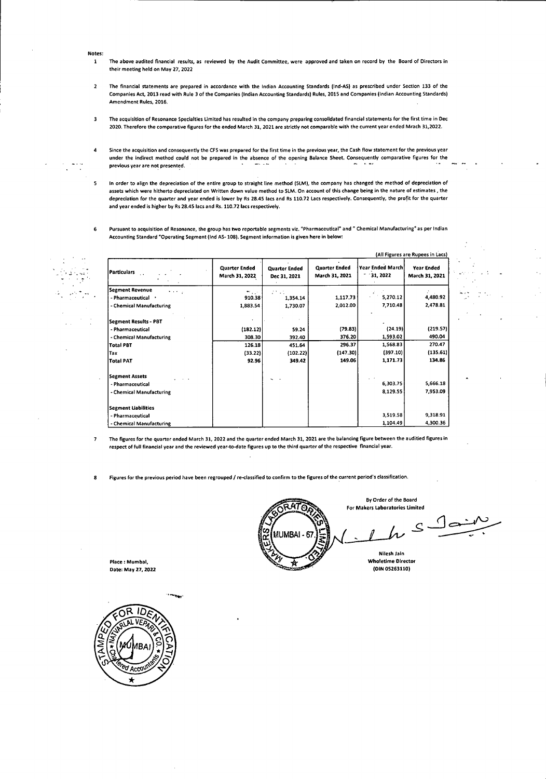- **Notes:**
	- The above audited financial results, as reviewed by the Audit Committee, were approved and taken on record by the Board of Directors in their meeting held on May 27, 2022 1
- The financial statements are prepared in accordance with the Indian Accounting Standards (lnd>AS) as prescribed under Section 133 of the Companies Act, 2013 read with Rule 3 of the Companies (Indian Accounting Standards) Rules, 2015 and Companies (Indian Accounting Standards) Amendment Rules, 2016. 2
- The acquisition of Resonance Specialties Limited has resulted in the company preparing consolidated financial statements for the first time in Dec 2020. Therefore the comparative figures for the ended March 31, 2021 are strictly not comparable with the current year ended Mrach 31,2022. 3
- Since the acquisition and consequently the CFS was prepared for the first time in the previous year, the Cash flow statement for the previous year under the indirect method could not be prepared in the absence of the opening Balance Sheet. Consequently comparative figures for the previous year are not presented. 4
- In order to align the depreciation of the entire group to straight line method (SLM), the company has changed the method of depreciation of assets which were hitherto depreciated on Written down value method to SLM. On account of this change being in the nature of estimates , the depreciation for the quarter and year ended is lower by Rs 28.45 lacs and Rs 110.72 Lacs respectively. Consequently, the profit for the quarter and year ended is higher by Rs 28.45 lacs and Rs. 110.72 lacs respectively. 5
- Pursuant to acquisition of Resonance, the group has two reportable segments viz. "Pharmaceutical" and " Chemical Manufacturing" as per Indian Accounting Standard "Operating Segment (Ind AS-108). Segment information is given here in below: 6

(All Figures are Rupees in Lacs) **Year Ended March - 31,2022 Quarter Ended March 31,2021 Year Ended March 31,2021 Quarter Ended** March **31,** 2022 **Quarter Ended Dec 31,2021 Particulars Segment Revenue** - Pharmaceutical \* - Chemical Manufacturing 4,480.92 2,478.81 1,117.73 2,012.00 5,270.12 7,710.48 910.38 1,883.54 1,354.14 1,730.07 **Segment Results** - **PBT** - Pharmaceutical - Chemical Manufacturing **Total PBT** (24.19) 1,593.02 (219.57) 490.04 (79.83) 376.20 (182.12) 308.30 S9.24 392.40 1,568.83 (397.10) **1,171.73** 270.47 (135.61) **134.86** 296.37 (147.30) **149.06** 126.18 (33.22) **92.96** 451.64 (102.22) **349.42** Tax **Total PAT Segment Assets** - Pharmaceutical - Chemical Manufacturing 5,666.18 7,953.09 6,303.75 8,129.55 Segment Liabilities - Pharmaceutical - Chemical Manufacturing 3,519.58 1,104.49 9,318.91 4,300.36

- The figures for the quarter ended March 31, 2022 and the quarter ended March 31, 2021 are the balancing figure between the auditied figures in respect of full financial year and the reviewed year-to-date figures up to the third quarter of the respective financial year. 7
- Figures for the previous period have been regrouped / re-classified to confirm to the figures of the current period's classification.

**ATO** MUMBA Place: Mumbai, **Wholetime Director Wholetime Director Wholetime Director Wholetime Director CON** 

By Order of the Board For **Makers Laboratories Limited**

<u>(၂</u>  $\mathcal{S}$ 

**Nilesh lain**

**Date: May 27,2022 (DIN 05263110)**

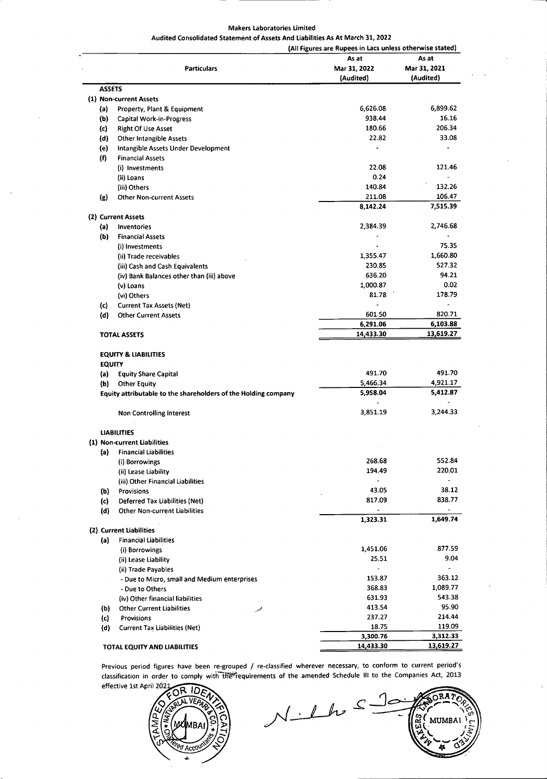#### **Makers Laboratories Limited Audited Consolidated Statement of Assets And Liabilities As At March 31,2022**

|                                                  |                                                                | (All Figures are Rupees in Lacs unless otherwise stated) |                    |
|--------------------------------------------------|----------------------------------------------------------------|----------------------------------------------------------|--------------------|
|                                                  |                                                                | As at                                                    | As at              |
|                                                  | <b>Particulars</b>                                             | Mar 31, 2022                                             | Mar 31, 2021       |
|                                                  |                                                                | (Audited)                                                | (Audited)          |
| <b>ASSETS</b>                                    |                                                                |                                                          |                    |
| (1) Non-current Assets                           |                                                                |                                                          |                    |
| (a)                                              | Property, Plant & Equipment                                    | 6,626.08                                                 | 6,899.62           |
| (b)                                              | Capital Work-in-Progress                                       | 938.44                                                   | 16.16              |
| (c)                                              | <b>Right Of Use Asset</b>                                      | 180.66                                                   | 206.34             |
| (d)                                              | <b>Other Intangible Assets</b>                                 | 22.82                                                    | 33.08              |
| (e)                                              | Intangible Assets Under Development                            |                                                          |                    |
| (f)                                              | <b>Financial Assets</b>                                        |                                                          |                    |
|                                                  | (i) Investments                                                | 22.08                                                    | 121.46             |
| (ii) Loans                                       |                                                                | 0.24                                                     |                    |
|                                                  |                                                                | 140.84                                                   | 132.26             |
| (iii) Others                                     |                                                                |                                                          |                    |
| (g)                                              | <b>Other Non-current Assets</b>                                | 211.08<br>8,142.24                                       | 106.47<br>7,515.39 |
| (2) Current Assets                               |                                                                |                                                          |                    |
| (a)                                              | Inventories                                                    | 2.384.39                                                 | 2,746.68           |
| (b)                                              | <b>Financial Assets</b>                                        |                                                          |                    |
|                                                  | (i) Investments                                                |                                                          | 75.35              |
|                                                  |                                                                |                                                          | 1,660.80           |
|                                                  | (ii) Trade receivables                                         | 1,355.47                                                 |                    |
|                                                  | (iii) Cash and Cash Equivalents                                | 230.85                                                   | 527.32             |
|                                                  | (iv) Bank Balances other than (iii) above                      | 636.20                                                   | 94.21              |
| (v) Loans                                        |                                                                | 1,000.87                                                 | 0.02               |
| (vi) Others                                      |                                                                | 81.78                                                    | 178.79             |
| (c)                                              | <b>Current Tax Assets (Net)</b>                                |                                                          |                    |
| (d)                                              | <b>Other Current Assets</b>                                    | 601.50                                                   | 820.71             |
|                                                  |                                                                | 6,291.06                                                 | 6,103.88           |
| <b>TOTAL ASSETS</b>                              |                                                                | 14,433.30                                                | 13,619.27          |
| <b>EQUITY &amp; LIABILITIES</b><br><b>EQUITY</b> |                                                                |                                                          |                    |
| (a)                                              | <b>Equity Share Capital</b>                                    | 491.70                                                   | 491.70             |
| (b)                                              | <b>Other Equity</b>                                            | 5,466.34                                                 | 4,921.17           |
|                                                  | Equity attributable to the shareholders of the Holding company | 5,958.04                                                 | 5,412.87           |
|                                                  |                                                                |                                                          |                    |
|                                                  | <b>Non Controlling Interest</b>                                | 3,851.19                                                 | 3,244.33           |
| <b>LIABILITIES</b>                               |                                                                |                                                          |                    |
| (1) Non-current Liabilities                      |                                                                |                                                          |                    |
|                                                  | (a) Financial Liabilities                                      |                                                          |                    |
|                                                  | (i) Borrowings                                                 | 268.68                                                   | 552.84             |
|                                                  |                                                                | 194.49                                                   | 220.01             |
|                                                  | (ii) Lease Liability                                           | $\overline{a}$                                           |                    |
|                                                  | (iii) Other Financial Liabilities                              |                                                          |                    |
| Provisions<br>(b)                                |                                                                | 43.05                                                    | 38.12              |
| (c)                                              | Deferred Tax Liabilities (Net)                                 | 817.09                                                   | 838.77             |
| (d)                                              | <b>Other Non-current Liabilities</b>                           |                                                          | 1,649.74           |
| (2) Current Liabilities                          |                                                                | 1,323.31                                                 |                    |
|                                                  |                                                                |                                                          |                    |
| (a)                                              | <b>Financial Liabilities</b>                                   |                                                          | 877.59             |
|                                                  | (i) Borrowings                                                 | 1,451.06                                                 |                    |
|                                                  | (ii) Lease Liability                                           | 25.51                                                    | 9.04               |
|                                                  | (ii) Trade Payables                                            | $\blacksquare$                                           |                    |
|                                                  | - Due to Micro, small and Medium enterprises                   | 153.87                                                   | 363.12             |
|                                                  | - Due to Others                                                | 368.83                                                   | 1,089.77           |
|                                                  | (iv) Other financial liabilities                               | 631.93                                                   | 543.38             |
| (b)                                              | <b>Other Current Liabilities</b><br>$\overline{\mathscr{M}}$   | 413.54                                                   | 95.90              |
| (c)                                              | Provisions                                                     | 237.27                                                   | 214.44             |
| (d)                                              | <b>Current Tax Liabilities (Net)</b>                           | 18.75                                                    | 119.09             |
|                                                  |                                                                | 3,300.76                                                 | 3,312.33           |
|                                                  |                                                                | 14,433.30                                                | 13,619.27          |

Previous period figures have been re-grouped / re-classified wherever necessary, to conform to current period's classification in order to comply with the requirements of the amended Schedule III to the Companies Act, 2013



 $ORA2$  $N_{\perp}$  L h  $S$  $\mathcal{F}_{\mathcal{G}}$ **MUMBAI** |<br>*JŠ]* **£\9.** V". /\*/5/<br> *E\9. V". /\*/5/*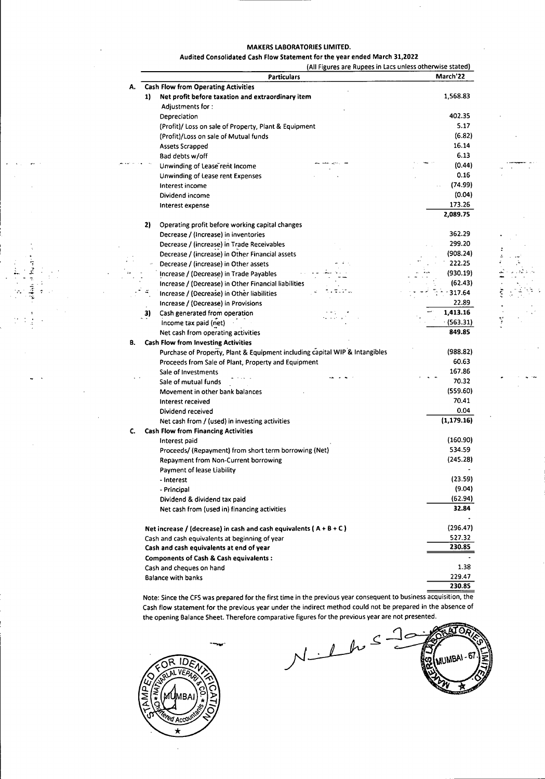#### **MAKERS LABORATORIES LIMITED.**

#### **Audited Consolidated Cash Flow Statement for the year ended March 31,2022**

(All Figures are Rupees in Lacs unless otherwise stated)

|    |    | <b>Particulars</b>                                                          | March'22    |
|----|----|-----------------------------------------------------------------------------|-------------|
| А. |    | <b>Cash Flow from Operating Activities</b>                                  |             |
|    | 1) | Net profit before taxation and extraordinary item                           | 1,568.83    |
|    |    | Adjustments for:                                                            |             |
|    |    | Depreciation                                                                | 402.35      |
|    |    | (Profit)/ Loss on sale of Property, Plant & Equipment                       | 5.17        |
|    |    | (Profit)/Loss on sale of Mutual funds                                       | (6.82)      |
|    |    | Assets Scrapped                                                             | 16.14       |
|    |    | Bad debts w/off                                                             | 6.13        |
|    |    | Unwinding of Lease rent Income                                              | (0.44)      |
|    |    | Unwinding of Lease rent Expenses                                            | 0.16        |
|    |    | Interest income                                                             | (74.99)     |
|    |    | Dividend income                                                             | (0.04)      |
|    |    | Interest expense                                                            | 173.26      |
|    |    |                                                                             | 2,089.75    |
|    | 2) | Operating profit before working capital changes                             |             |
|    |    | Decrease / (Increase) in inventories                                        | 362.29      |
|    |    | Decrease / (increase) in Trade Receivables                                  | 299.20      |
|    |    | Decrease / (increase) in Other Financial assets                             | (908.24)    |
|    |    | Decrease / (increase) in Other assets                                       | 222.25      |
|    |    | Increase / (Decrease) in Trade Payables                                     | (930.19)    |
|    |    | Increase / (Decrease) in Other Financial liabilities                        | (62.43)     |
|    |    | Increase / (Decrease) in Other liabilities                                  | $-317.64$   |
|    |    | Increase / (Decrease) in Provisions                                         | 22.89       |
|    | 3) | Cash generated from operation                                               | 1,413.16    |
|    |    | Income tax paid (net)                                                       | (563.31)    |
|    |    | Net cash from operating activities                                          | 849.85      |
| В. |    | <b>Cash Flow from Investing Activities</b>                                  |             |
|    |    | Purchase of Property, Plant & Equipment including capital WIP & Intangibles | (988.82)    |
|    |    | Proceeds from Sale of Plant, Property and Equipment                         | 60.63       |
|    |    | Sale of Investments                                                         | 167.86      |
|    |    | Sale of mutual funds                                                        | 70.32       |
|    |    | Movement in other bank balances                                             | (559.60)    |
|    |    | Interest received                                                           | 70.41       |
|    |    | Dividend received                                                           | 0.04        |
|    |    | Net cash from / (used) in investing activities                              | (1, 179.16) |
| C. |    | <b>Cash Flow from Financing Activities</b>                                  |             |
|    |    | Interest paid                                                               | (160.90)    |
|    |    | Proceeds/ (Repayment) from short term borrowing (Net)                       | 534.59      |
|    |    | Repayment from Non-Current borrowing                                        | (245.28)    |
|    |    | Payment of lease Liability                                                  |             |
|    |    |                                                                             | (23.59)     |
|    |    | - Interest<br>- Principal                                                   | (9.04)      |
|    |    | Dividend & dividend tax paid                                                | (62.94)     |
|    |    | Net cash from (used in) financing activities                                | 32.84       |
|    |    |                                                                             |             |
|    |    | Net increase / (decrease) in cash and cash equivalents ( $A + B + C$ )      | (296.47)    |
|    |    | Cash and cash equivalents at beginning of year                              | 527.32      |
|    |    | Cash and cash equivalents at end of year                                    | 230.85      |
|    |    | <b>Components of Cash &amp; Cash equivalents:</b>                           |             |
|    |    | Cash and cheques on hand                                                    | 1.38        |
|    |    | <b>Balance with banks</b>                                                   | 229.47      |
|    |    |                                                                             | 230.85      |

Note: Since the CFS was prepared for the first time in the previous year consequent to business acquisition, the Cash flow statement for the previous year under the indirect method could not be prepared in the absence of the opening Balance Sheet. Therefore comparative figures for the previous year are not presented.



**:**

 $\ddot{\phantom{0}}$ 

**!**

- f.

 $\ddot{\phi}$ 

 $N-1$  $\mathcal{L}$ 



**:**

ist e

Y

•iT • v .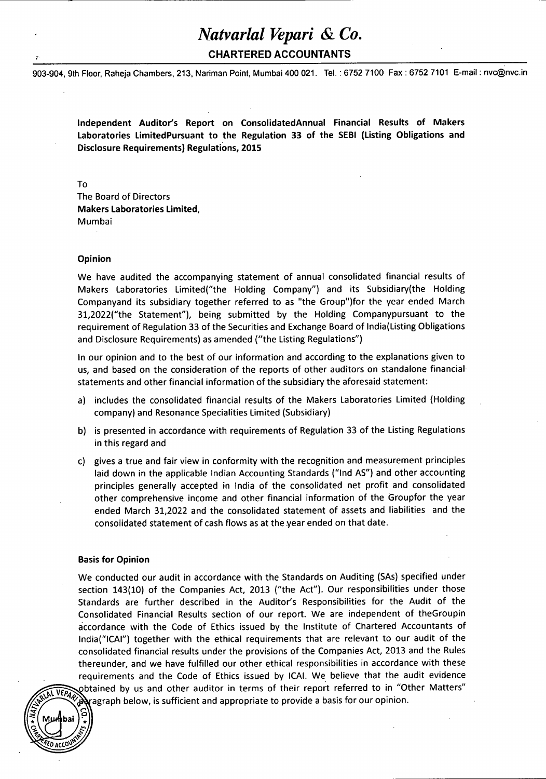**CHARTERED ACCOUNTANTS**

903-904, 9th Floor, Raheja Chambers, 213, Nariman Point, Mumbai 400 021. Tel.: 6752 7100 Fax : 6752 7101 E-mail: [nvc@nvc.in](mailto:nvc@nvc.in)

**Independent Auditor's Report on ConsolidatedAnnual Financial Results of Makers Laboratories LimitedPursuant to the Regulation 33 of the SEBI (Listing Obligations and Disclosure Requirements) Regulations, 2015**

To

The Board of Directors **Makers Laboratories Limited,** Mumbai

#### **Opinion**

We have audited the accompanying statement of annual consolidated financial results of Makers Laboratories Limited("the Holding Company") and its Subsidiary(the Holding Companyand its subsidiary together referred to as "the Group")for the year ended March 31,2022("the Statement"), being submitted by the Holding Companypursuant to the requirement of Regulation 33 of the Securities and Exchange Board of India(Listing Obligations and Disclosure Requirements) as amended ("the Listing Regulations")

In our opinion and to the best of our information and according to the explanations given to us, and based on the consideration of the reports of other auditors on standalone financial statements and other financial information ofthe subsidiary the aforesaid statement:

- a) includes the consolidated financial results of the Makers Laboratories Limited (Holding company) and Resonance Specialities Limited (Subsidiary)
- b) is presented in accordance with requirements of Regulation 33 of the Listing Regulations in this regard and
- c) gives a true and fair view in conformity with the recognition and measurement principles laid down in the applicable Indian Accounting Standards ("Ind AS") and other accounting principles generally accepted in India of the consolidated net profit and consolidated other comprehensive income and other financial information of the Groupfor the year ended March 31,2022 and the consolidated statement of assets and liabilities and the consolidated statement of cash flows as at the year ended on that date.

#### **Basis for Opinion**

**\*** f **Mprlibai**

We conducted our audit in accordance with the Standards on Auditing (SAs) specified under section 143(10) of the Companies Act, 2013 ("the Act"). Our responsibilities under those Standards are further described in the Auditor's Responsibilities for the Audit of the Consolidated Financial Results section of our report. We are independent of theGroupin accordance with the Code of Ethics issued by the Institute of Chartered Accountants of lndia("ICAI") together with the ethical requirements that are relevant to our audit of the consolidated financial results under the provisions of the Companies Act, 2013 and the Rules thereunder, and we have fulfilled our other ethical responsibilities in accordance with these requirements and the Code of Ethics issued by ICAI. We believe that the audit evidence obtained by us and other auditor in terms of their report referred to in "Other Matters" **VEPAPH below, is sufficient and appropriate to provide a basis for our opinion.**<br>**EXAPH** below, is sufficient and appropriate to provide a basis for our opinion.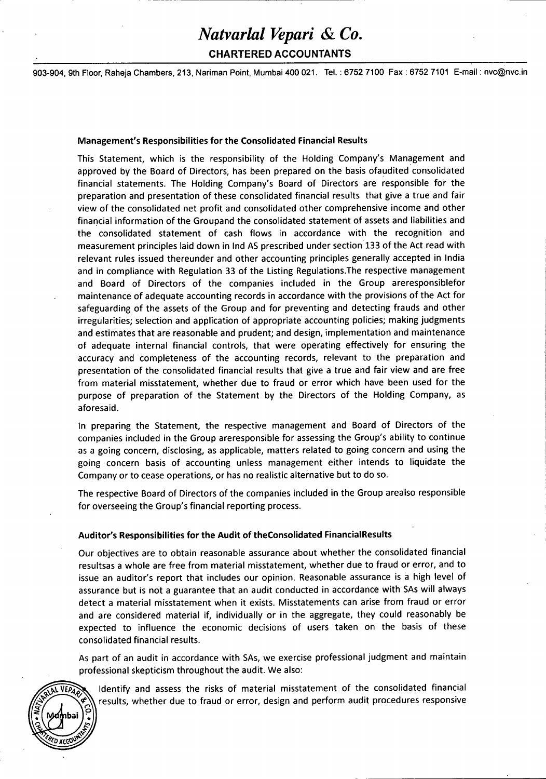## **CHARTERED ACCOUNTANTS**

903-904, 9th Floor, Raheja Chambers, 213, Nariman Point, Mumbai 400 021. Tel.: 6752 7100 Fax : 6752 7101 E-mail: [nvc@nvc.in](mailto:nvc@nvc.in)

#### **Management's Responsibilities for the Consolidated Financial Results**

This Statement, which is the responsibility of the Holding Company's Management and approved by the Board of Directors, has been prepared on the basis ofaudited consolidated financial statements. The Holding Company's Board of Directors are responsible for the preparation and presentation of these consolidated financial results that give <sup>a</sup> true and fair view of the consolidated net profit and consolidated other comprehensive income and other financial information ofthe Groupand the consolidated statement of assets and liabilities and the consolidated statement of cash flows in accordance with the recognition and measurement principles laid down in Ind AS prescribed under section 133 of the Act read with relevant rules issued thereunder and other accounting principles generally accepted in India and in compliance with Regulation 33 of the Listing Regulations.The respective management and Board of Directors of the companies included in the Group areresponsiblefor maintenance of adequate accounting records in accordance with the provisions of the Act for safeguarding of the assets of the Group and for preventing and detecting frauds and other irregularities; selection and application of appropriate accounting policies; making judgments and estimates that are reasonable and prudent; and design, implementation and maintenance of adequate internal financial controls, that were operating effectively for ensuring the accuracy and completeness of the accounting records, relevant to the preparation and presentation of the consolidated financial results that give a true and fair view and are free from material misstatement, whether due to fraud or error which have been used for the purpose of preparation of the Statement by the Directors of the Holding Company, as aforesaid.

In preparing the Statement, the respective management and Board of Directors of the companies included in the Group areresponsible for assessing the Group's ability to continue as a going concern, disclosing, as applicable, matters related to going concern and using the going concern basis of accounting unless management either intends to liquidate the Company or to cease operations, or has no realistic alternative but to do so.

The respective Board of Directors of the companies included in the Group arealso responsible for overseeing the Group's financial reporting process.

#### **Auditor's Responsibilities for the Audit of theConsolidated FinancialResults**

*& &*

Our objectives are to obtain reasonable assurance about whether the consolidated financial resultsas a whole are free from material misstatement, whether due to fraud or error, and to issue an auditor's report that includes our opinion. Reasonable assurance is a high level of assurance but is not a guarantee that an audit conducted in accordance with SAs will always detect a material misstatement when it exists. Misstatements can arise from fraud or error and are considered material if, individually or in the aggregate, they could reasonably be expected to influence the economic decisions of users taken on the basis of these consolidated financial results.

As part of an audit in accordance with SAs, we exercise professional judgment and maintain professional skepticism throughout the audit. We also:

Identify and assess the risks of material misstatement of the consolidated financial **EPAPER IDED IDENTIFY AND IDENTIFY AND RESULTS IN THE UP TO FALL OF THE UP TO THE UP TO THE TO FALL OF THE PROPERTY THE TO FALL OF THE PROPERTY RESPONSIVE**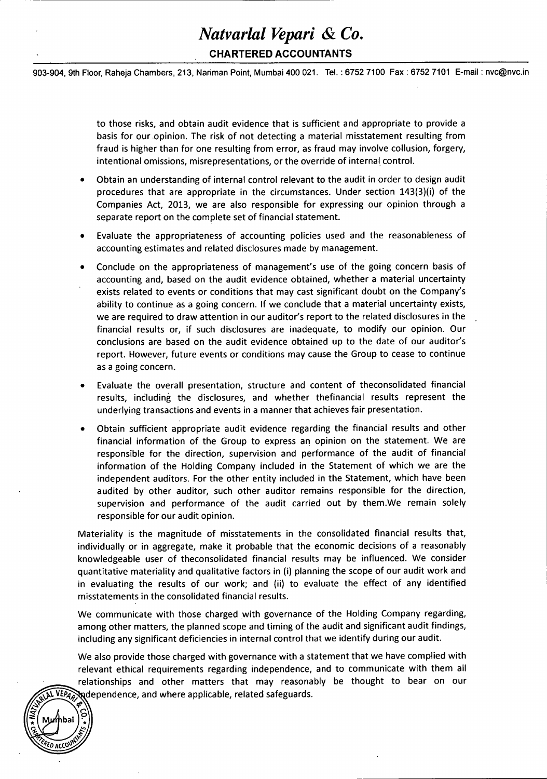## **CHARTERED ACCOUNTANTS**

903-904, 9th Floor, Raheja Chambers, 213, Nariman Point, Mumbai 400 021. Tel.: 6752 7100 Fax : 6752 7101 E-mail: [nvc@nvc.in](mailto:nvc@nvc.in)

to those risks, and obtain audit evidence that is sufficient and appropriate to provide <sup>a</sup> basis for our opinion. The risk of not detecting <sup>a</sup> material misstatement resulting from fraud is higher than for one resulting from error, as fraud may involve collusion, forgery, intentional omissions, misrepresentations, or the override of internal control.

- Obtain an understanding of internal control relevant to the audit in order to design audit procedures that are appropriate in the circumstances. Under section 143(3)(i) of the Companies Act, 2013, we are also responsible for expressing our opinion through <sup>a</sup> separate report on the complete set of financial statement.
- Evaluate the appropriateness of accounting policies used and the reasonableness of accounting estimates and related disclosures made by management.
- Conclude on the appropriateness of management's use of the going concern basis of accounting and, based on the audit evidence obtained, whether a material uncertainty exists related to events or conditions that may cast significant doubt on the Company's ability to continue as a going concern. If we conclude that a material uncertainty exists, we are required to draw attention in our auditor's report to the related disclosures in the financial results or, if such disclosures are inadequate, to modify our opinion. Our conclusions are based on the audit evidence obtained up to the date of our auditor's report. However, future events or conditions may cause the Group to cease to continue as a going concern.
- Evaluate the overall presentation, structure and content of theconsolidated financial results, including the disclosures, and whether thefinancial results represent the underlying transactions and events in a manner that achieves fair presentation.
- Obtain sufficient appropriate audit evidence regarding the financial results and other financial information of the Group to express an opinion on the statement. We are responsible for the direction, supervision and performance of the audit of financial information of the Holding Company included in the Statement of which we are the independent auditors. For the other entity included in the Statement, which have been audited by other auditor, such other auditor remains responsible for the direction, supervision and performance of the audit carried out by them.We remain solely responsible for our audit opinion.

Materiality is the magnitude of misstatements in the consolidated financial results that, individually or in aggregate, make it probable that the economic decisions of <sup>a</sup> reasonably knowledgeable user of theconsolidated financial results may be influenced. We consider quantitative materiality and qualitative factors in (i) planning the scope of our audit work and in evaluating the results of our work; and (ii) to evaluate the effect of any identified misstatements in the consolidated financial results.

We communicate with those charged with governance of the Holding Company regarding, among other matters, the planned scope and timing of the audit and significant audit findings, including any significant deficiencies in internal control that we identify during our audit.

We also provide those charged with governance with a statement that we have complied with relevant ethical requirements regarding independence, and to communicate with them all relationships and other matters that may reasonably be thought to bear on our<br>VEPA Madeoendence and where applicable, related safeguards. ^pS^fA^tadependence, and where applicable, related safeguards.

'

*CRED ACCOUNT* 

**5** .<br>مخ

ba! \*